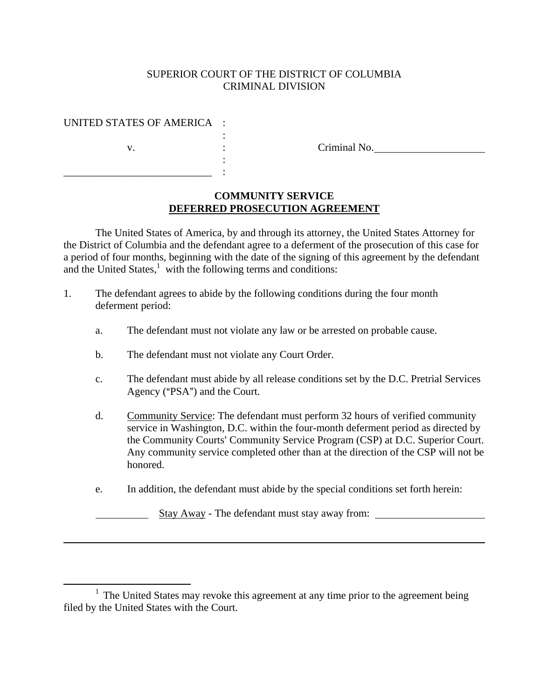#### SUPERIOR COURT OF THE DISTRICT OF COLUMBIA CRIMINAL DIVISION

#### UNITED STATES OF AMERICA :

\_\_\_\_\_\_\_\_\_\_\_\_\_\_\_\_\_\_\_\_\_\_\_\_\_\_\_\_ :

 $\overline{a}$ 

v.  $\qquad \qquad : \qquad \qquad \text{Criminal No.}$ 

### **COMMUNITY SERVICE DEFERRED PROSECUTION AGREEMENT**

The United States of America, by and through its attorney, the United States Attorney for the District of Columbia and the defendant agree to a deferment of the prosecution of this case for a period of four months, beginning with the date of the signing of this agreement by the defendant and the United States, $<sup>1</sup>$  with the following terms and conditions:</sup>

- 1. The defendant agrees to abide by the following conditions during the four month deferment period:
	- a. The defendant must not violate any law or be arrested on probable cause.
	- b. The defendant must not violate any Court Order.

:

:

- c. The defendant must abide by all release conditions set by the D.C. Pretrial Services Agency (" $PSA$ ") and the Court.
- d. Community Service: The defendant must perform 32 hours of verified community service in Washington, D.C. within the four-month deferment period as directed by the Community Courts' Community Service Program (CSP) at D.C. Superior Court. Any community service completed other than at the direction of the CSP will not be honored.
- e. In addition, the defendant must abide by the special conditions set forth herein:

Stay Away - The defendant must stay away from:

<sup>&</sup>lt;u>1</u>  $1$  The United States may revoke this agreement at any time prior to the agreement being filed by the United States with the Court.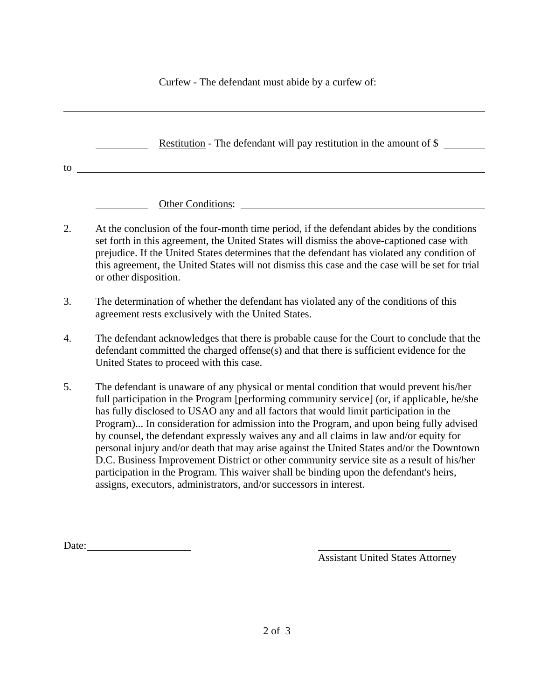|    | Curfew - The defendant must abide by a curfew of:                                                                                                                                                                                                                                                                                                                                                                                                                                                                                                                                                                                                             |
|----|---------------------------------------------------------------------------------------------------------------------------------------------------------------------------------------------------------------------------------------------------------------------------------------------------------------------------------------------------------------------------------------------------------------------------------------------------------------------------------------------------------------------------------------------------------------------------------------------------------------------------------------------------------------|
|    | <b>Restitution</b> - The defendant will pay restitution in the amount of \$                                                                                                                                                                                                                                                                                                                                                                                                                                                                                                                                                                                   |
| to |                                                                                                                                                                                                                                                                                                                                                                                                                                                                                                                                                                                                                                                               |
| 2. | Other Conditions:<br>At the conclusion of the four-month time period, if the defendant abides by the conditions<br>set forth in this agreement, the United States will dismiss the above-captioned case with<br>prejudice. If the United States determines that the defendant has violated any condition of<br>this agreement, the United States will not dismiss this case and the case will be set for trial<br>or other disposition.                                                                                                                                                                                                                       |
| 3. | The determination of whether the defendant has violated any of the conditions of this<br>agreement rests exclusively with the United States.                                                                                                                                                                                                                                                                                                                                                                                                                                                                                                                  |
| 4. | The defendant acknowledges that there is probable cause for the Court to conclude that the<br>defendant committed the charged offense(s) and that there is sufficient evidence for the<br>United States to proceed with this case.                                                                                                                                                                                                                                                                                                                                                                                                                            |
| 5. | The defendant is unaware of any physical or mental condition that would prevent his/her<br>full participation in the Program [performing community service] (or, if applicable, he/she<br>has fully disclosed to USAO any and all factors that would limit participation in the<br>Program) In consideration for admission into the Program, and upon being fully advised<br>by counsel, the defendant expressly waives any and all claims in law and/or equity for<br>personal injury and/or death that may arise against the United States and/or the Downtown<br>D.C. Business Improvement District or other community service site as a result of his/her |

Date:

Assistant United States Attorney

participation in the Program. This waiver shall be binding upon the defendant's heirs,

assigns, executors, administrators, and/or successors in interest.